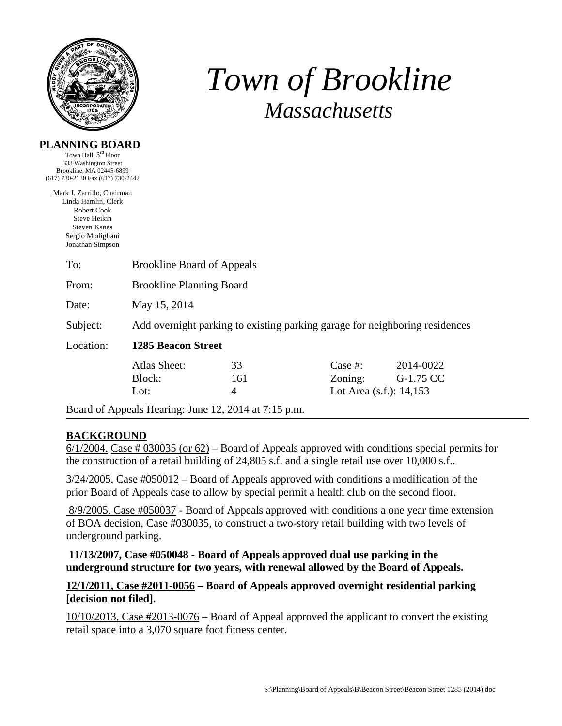

**PLANNING BOARD** 

# *Town of Brookline Massachusetts*

| Town Hall, 3 <sup>rd</sup> Floor<br>333 Washington Street<br>Brookline, MA 02445-6899 |                                                                             |                                                      |            |                            |  |
|---------------------------------------------------------------------------------------|-----------------------------------------------------------------------------|------------------------------------------------------|------------|----------------------------|--|
| (617) 730-2130 Fax (617) 730-2442                                                     |                                                                             |                                                      |            |                            |  |
| Mark J. Zarrillo, Chairman                                                            |                                                                             |                                                      |            |                            |  |
| Linda Hamlin, Clerk                                                                   |                                                                             |                                                      |            |                            |  |
| <b>Robert Cook</b><br>Steve Heikin                                                    |                                                                             |                                                      |            |                            |  |
| <b>Steven Kanes</b>                                                                   |                                                                             |                                                      |            |                            |  |
| Sergio Modigliani                                                                     |                                                                             |                                                      |            |                            |  |
| Jonathan Simpson                                                                      |                                                                             |                                                      |            |                            |  |
| To:                                                                                   | <b>Brookline Board of Appeals</b>                                           |                                                      |            |                            |  |
| From:                                                                                 | <b>Brookline Planning Board</b>                                             |                                                      |            |                            |  |
| Date:                                                                                 | May 15, 2014                                                                |                                                      |            |                            |  |
| Subject:                                                                              | Add overnight parking to existing parking garage for neighboring residences |                                                      |            |                            |  |
| Location:                                                                             | <b>1285 Beacon Street</b>                                                   |                                                      |            |                            |  |
|                                                                                       | <b>Atlas Sheet:</b>                                                         | 33                                                   | Case $#$ : | 2014-0022                  |  |
|                                                                                       | Block:                                                                      | 161                                                  | Zoning:    | G-1.75 CC                  |  |
|                                                                                       | Lot:                                                                        | $\overline{4}$                                       |            | Lot Area $(s.f.)$ : 14,153 |  |
|                                                                                       |                                                                             | Board of Appeals Hearing: June 12, 2014 at 7:15 p.m. |            |                            |  |

# **BACKGROUND**

 $6/1/2004$ , Case # 030035 (or  $62$ ) – Board of Appeals approved with conditions special permits for the construction of a retail building of 24,805 s.f. and a single retail use over 10,000 s.f..

3/24/2005, Case #050012 – Board of Appeals approved with conditions a modification of the prior Board of Appeals case to allow by special permit a health club on the second floor.

 8/9/2005, Case #050037 - Board of Appeals approved with conditions a one year time extension of BOA decision, Case #030035, to construct a two-story retail building with two levels of underground parking.

#### **11/13/2007, Case #050048 - Board of Appeals approved dual use parking in the underground structure for two years, with renewal allowed by the Board of Appeals.**

# **12/1/2011, Case #2011-0056 – Board of Appeals approved overnight residential parking [decision not filed].**

10/10/2013, Case #2013-0076 – Board of Appeal approved the applicant to convert the existing retail space into a 3,070 square foot fitness center.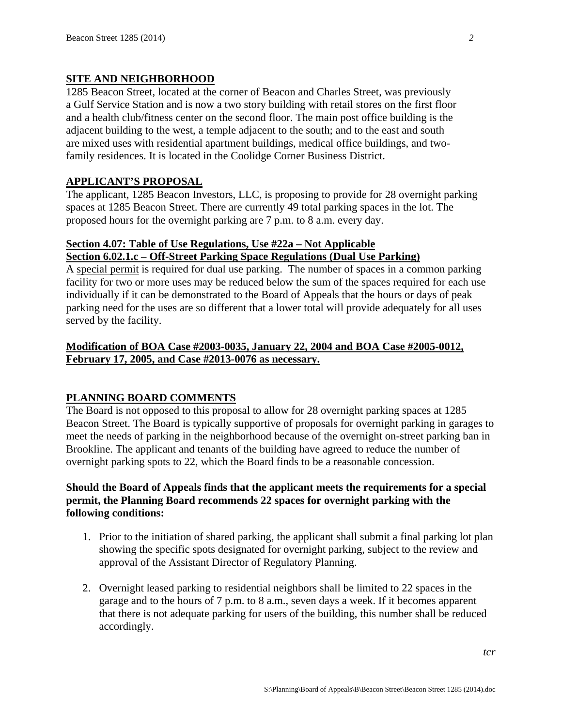### **SITE AND NEIGHBORHOOD**

1285 Beacon Street, located at the corner of Beacon and Charles Street, was previously a Gulf Service Station and is now a two story building with retail stores on the first floor and a health club/fitness center on the second floor. The main post office building is the adjacent building to the west, a temple adjacent to the south; and to the east and south are mixed uses with residential apartment buildings, medical office buildings, and twofamily residences. It is located in the Coolidge Corner Business District.

# **APPLICANT'S PROPOSAL**

The applicant, 1285 Beacon Investors, LLC, is proposing to provide for 28 overnight parking spaces at 1285 Beacon Street. There are currently 49 total parking spaces in the lot. The proposed hours for the overnight parking are 7 p.m. to 8 a.m. every day.

# **Section 4.07: Table of Use Regulations, Use #22a – Not Applicable Section 6.02.1.c – Off-Street Parking Space Regulations (Dual Use Parking)**

A special permit is required for dual use parking. The number of spaces in a common parking facility for two or more uses may be reduced below the sum of the spaces required for each use individually if it can be demonstrated to the Board of Appeals that the hours or days of peak parking need for the uses are so different that a lower total will provide adequately for all uses served by the facility.

# **Modification of BOA Case #2003-0035, January 22, 2004 and BOA Case #2005-0012, February 17, 2005, and Case #2013-0076 as necessary.**

# **PLANNING BOARD COMMENTS**

The Board is not opposed to this proposal to allow for 28 overnight parking spaces at 1285 Beacon Street. The Board is typically supportive of proposals for overnight parking in garages to meet the needs of parking in the neighborhood because of the overnight on-street parking ban in Brookline. The applicant and tenants of the building have agreed to reduce the number of overnight parking spots to 22, which the Board finds to be a reasonable concession.

# **Should the Board of Appeals finds that the applicant meets the requirements for a special permit, the Planning Board recommends 22 spaces for overnight parking with the following conditions:**

- 1. Prior to the initiation of shared parking, the applicant shall submit a final parking lot plan showing the specific spots designated for overnight parking, subject to the review and approval of the Assistant Director of Regulatory Planning.
- 2. Overnight leased parking to residential neighbors shall be limited to 22 spaces in the garage and to the hours of 7 p.m. to 8 a.m., seven days a week. If it becomes apparent that there is not adequate parking for users of the building, this number shall be reduced accordingly.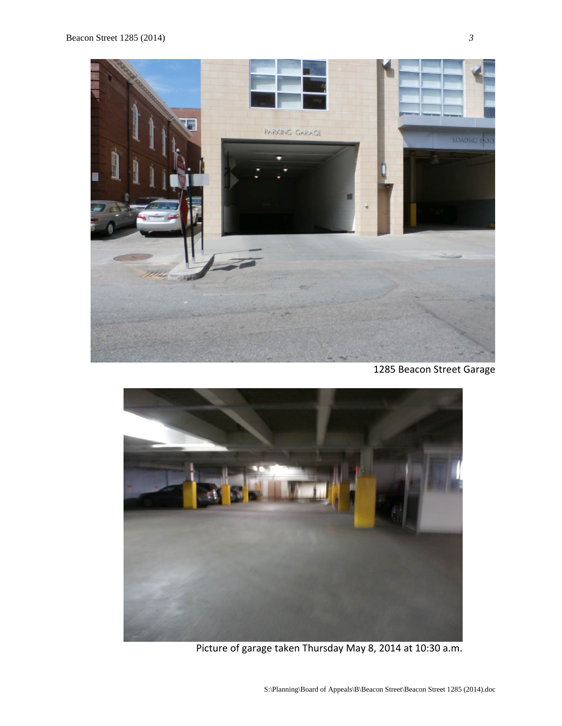

1285 Beacon Street Garage



Picture of garage taken Thursday May 8, 2014 at 10:30 a.m.